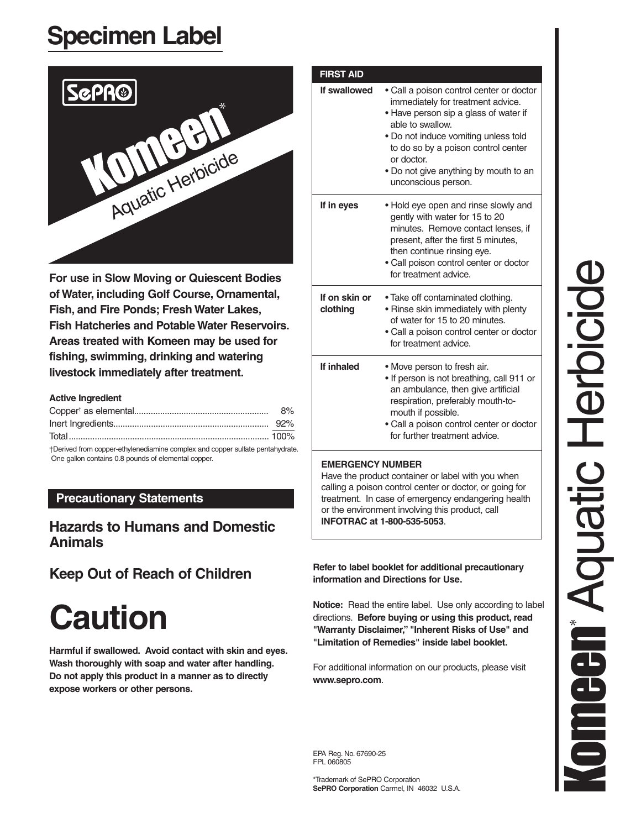## **Specimen Label**



**For use in Slow Moving or Quiescent Bodies of Water, including Golf Course, Ornamental, Fish, and Fire Ponds; Fresh Water Lakes, Fish Hatcheries and Potable Water Reservoirs. Areas treated with Komeen may be used for fishing, swimming, drinking and watering livestock immediately after treatment.**

#### **Active Ingredient**

| +Derived from connex other innodiaming complex and connex or if other postals identity |  |
|----------------------------------------------------------------------------------------|--|

†Derived from copper-ethylenediamine complex and copper sulfate pentahydrate. One gallon contains 0.8 pounds of elemental copper .

#### **Precautionary Statements**

### **Hazards to Humans and Domestic Animals**

## **Keep Out of Reach of Children**

# **Caution**

**Harmful if swallowed. Avoid contact with skin and eyes. Wash thoroughly with soap and water after handling. Do not apply this product in a manner as to directly expose workers or other persons.**

| If swallowed              | • Call a poison control center or doctor<br>immediately for treatment advice.<br>• Have person sip a glass of water if<br>able to swallow.<br>• Do not induce vomiting unless told<br>to do so by a poison control center<br>or doctor.<br>. Do not give anything by mouth to an<br>unconscious person. |
|---------------------------|---------------------------------------------------------------------------------------------------------------------------------------------------------------------------------------------------------------------------------------------------------------------------------------------------------|
| If in eyes                | . Hold eye open and rinse slowly and<br>gently with water for 15 to 20<br>minutes. Remove contact lenses, if<br>present, after the first 5 minutes,<br>then continue rinsing eye.<br>· Call poison control center or doctor<br>for treatment advice.                                                    |
| If on skin or<br>clothing | • Take off contaminated clothing.<br>• Rinse skin immediately with plenty<br>of water for 15 to 20 minutes.<br>• Call a poison control center or doctor<br>for treatment advice.                                                                                                                        |
| If inhaled                | • Move person to fresh air.<br>• If person is not breathing, call 911 or<br>an ambulance, then give artificial<br>respiration, preferably mouth-to-<br>mouth if possible.<br>· Call a poison control center or doctor<br>for further treatment advice.                                                  |

Have the product container or label with you when calling a poison control center or doctor, or going for treatment. In case of emergency endangering health or the environment involving this product, call **INFOTRAC at 1-800-535-5053** .

**Refer to label booklet for additional precautionary information and Directions for Use .**

**Notice:** Read the entire label. Use only according to label directions . **Before buying or using this product, read "Warranty Disclaimer," "Inherent Risks of Use" and "Limitation of Remedies" inside label booklet.**

For additional information on our products, please visit **www.sepro.com** .

EPA Reg. No. 67690-25 FPL 060805

\*Trademark of SePRO Corporation **SePRO Corporation** Carmel, IN 46032 U.S.A.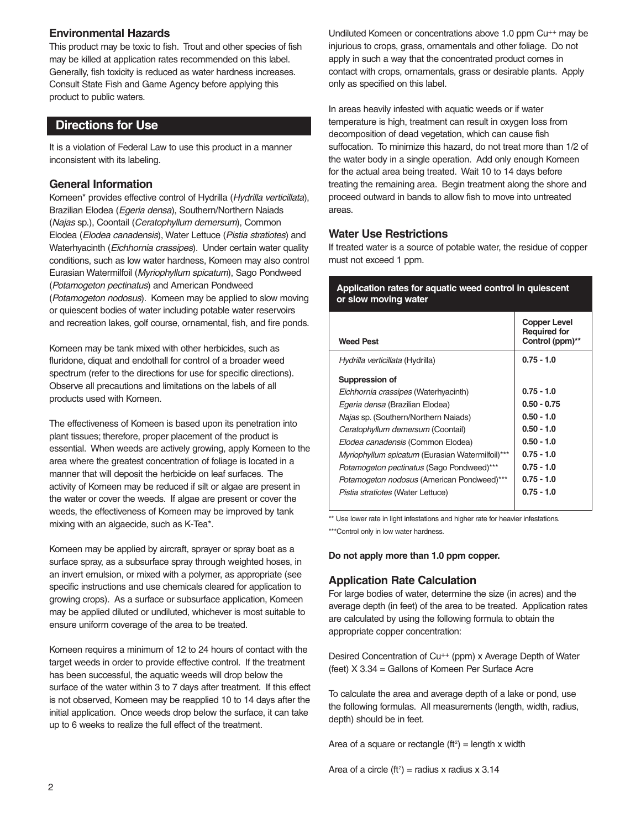#### **Environmental Hazards**

This product may be toxic to fish. Trout and other species of fish may be killed at application rates recommended on this label. Generally, fish toxicity is reduced as water hardness increases. Consult State Fish and Game Agency before applying this product to public waters.

#### **Directions for Use**

It is a violation of Federal Law to use this product in a manner inconsistent with its labeling.

#### **General Information**

Komeen\* provides effective control of Hydrilla (Hydrilla verticillata), Brazilian Elodea (Egeria densa), Southern/Northern Naiads (Najas sp.), Coontail (Ceratophyllum demersum), Common Elodea (Elodea canadensis), Water Lettuce (Pistia stratiotes) and Waterhyacinth (Eichhornia crassipes). Under certain water quality conditions, such as low water hardness, Komeen may also control Eurasian Watermilfoil (Myriophyllum spicatum), Sago Pondweed (Potamogeton pectinatus) and American Pondweed (Potamogeton nodosus). Komeen may be applied to slow moving or quiescent bodies of water including potable water reservoirs and recreation lakes, golf course, ornamental, fish, and fire ponds.

Komeen may be tank mixed with other herbicides, such as fluridone, diquat and endothall for control of a broader weed spectrum (refer to the directions for use for specific directions). Observe all precautions and limitations on the labels of all products used with Komeen.

The effectiveness of Komeen is based upon its penetration into plant tissues; therefore, proper placement of the product is essential. When weeds are actively growing, apply Komeen to the area where the greatest concentration of foliage is located in a manner that will deposit the herbicide on leaf surfaces. The activity of Komeen may be reduced if silt or algae are present in the water or cover the weeds. If algae are present or cover the weeds, the effectiveness of Komeen may be improved by tank mixing with an algaecide, such as K-Tea\*.

Komeen may be applied by aircraft, sprayer or spray boat as a surface spray, as a subsurface spray through weighted hoses, in an invert emulsion, or mixed with a polymer, as appropriate (see specific instructions and use chemicals cleared for application to growing crops). As a surface or subsurface application, Komeen may be applied diluted or undiluted, whichever is most suitable to ensure uniform coverage of the area to be treated.

Komeen requires a minimum of 12 to 24 hours of contact with the target weeds in order to provide effective control. If the treatment has been successful, the aquatic weeds will drop below the surface of the water within 3 to 7 days after treatment. If this effect is not observed, Komeen may be reapplied 10 to 14 days after the initial application. Once weeds drop below the surface, it can take up to 6 weeks to realize the full effect of the treatment.

Undiluted Komeen or concentrations above 1.0 ppm Cu++ may be injurious to crops, grass, ornamentals and other foliage. Do not apply in such a way that the concentrated product comes in contact with crops, ornamentals, grass or desirable plants. Apply only as specified on this label.

In areas heavily infested with aquatic weeds or if water temperature is high, treatment can result in oxygen loss from decomposition of dead vegetation, which can cause fish suffocation. To minimize this hazard, do not treat more than 1/2 of the water body in a single operation. Add only enough Komeen for the actual area being treated. Wait 10 to 14 days before treating the remaining area. Begin treatment along the shore and proceed outward in bands to allow fish to move into untreated areas.

#### **Water Use Restrictions**

If treated water is a source of potable water, the residue of copper must not exceed 1 ppm.

#### **Application rates for aquatic weed control in quiescent or slow moving water**

| <b>Weed Pest</b>                                  | Copper Level<br><b>Required for</b><br>Control (ppm)** |
|---------------------------------------------------|--------------------------------------------------------|
| Hydrilla verticillata (Hydrilla)                  | $0.75 - 1.0$                                           |
| Suppression of                                    |                                                        |
| Eichhornia crassipes (Waterhyacinth)              | $0.75 - 1.0$                                           |
| Egeria densa (Brazilian Elodea)                   | $0.50 - 0.75$                                          |
| Najas sp. (Southern/Northern Najads)              | $0.50 - 1.0$                                           |
| Ceratophyllum demersum (Coontail)                 | $0.50 - 1.0$                                           |
| Elodea canadensis (Common Elodea)                 | $0.50 - 1.0$                                           |
| Myriophyllum spicatum (Eurasian Watermilfoil)***  | $0.75 - 1.0$                                           |
| Potamogeton pectinatus (Sago Pondweed)***         | $0.75 - 1.0$                                           |
| <i>Potamogeton nodosus</i> (American Pondweed)*** | $0.75 - 1.0$                                           |
| Pistia stratiotes (Water Lettuce)                 | $0.75 - 1.0$                                           |

\*\* Use lower rate in light infestations and higher rate for heavier infestations. \*\*\*Control only in low water hardness.

**Do not apply more than 1.0 ppm copper.**

#### **Application Rate Calculation**

For large bodies of water, determine the size (in acres) and the average depth (in feet) of the area to be treated. Application rates are calculated by using the following formula to obtain the appropriate copper concentration:

Desired Concentration of Cu++ (ppm) x Average Depth of Water (feet) X 3.34 = Gallons of Komeen Per Surface Acre

To calculate the area and average depth of a lake or pond, use the following formulas. All measurements (length, width, radius, depth) should be in feet.

Area of a square or rectangle (ft<sup>2</sup>) = length x width

Area of a circle (ft<sup>2</sup>) = radius x radius x 3.14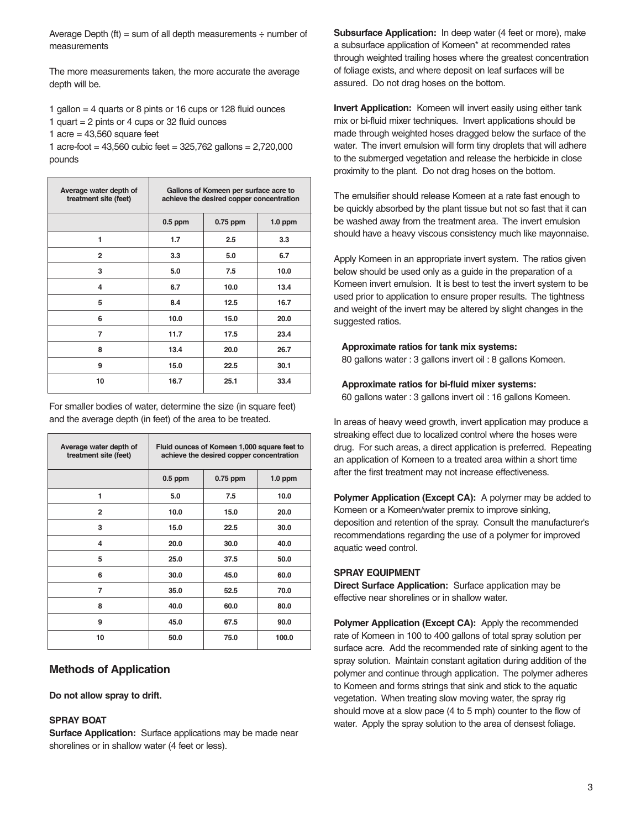Average Depth (ft) = sum of all depth measurements  $\div$  number of measurements

The more measurements taken, the more accurate the average depth will be.

- 1 gallon = 4 quarts or 8 pints or 16 cups or 128 fluid ounces
- 1 quart = 2 pints or 4 cups or 32 fluid ounces

1 acre =  $43,560$  square feet

1 acre-foot =  $43,560$  cubic feet =  $325,762$  gallons =  $2,720,000$ pounds

| Average water depth of<br>treatment site (feet) | Gallons of Komeen per surface acre to<br>achieve the desired copper concentration |            |           |
|-------------------------------------------------|-----------------------------------------------------------------------------------|------------|-----------|
|                                                 | $0.5$ ppm                                                                         | $0.75$ ppm | $1.0$ ppm |
| 1                                               | 1.7                                                                               | 2.5        | 3.3       |
| $\overline{2}$                                  | 3.3                                                                               | 5.0        | 6.7       |
| 3                                               | 5.0                                                                               | 7.5        | 10.0      |
| 4                                               | 6.7                                                                               | 10.0       | 13.4      |
| 5                                               | 8.4                                                                               | 12.5       | 16.7      |
| 6                                               | 10.0                                                                              | 15.0       | 20.0      |
| 7                                               | 11.7                                                                              | 17.5       | 23.4      |
| 8                                               | 13.4                                                                              | 20.0       | 26.7      |
| 9                                               | 15.0                                                                              | 22.5       | 30.1      |
| 10                                              | 16.7                                                                              | 25.1       | 33.4      |

For smaller bodies of water, determine the size (in square feet) and the average depth (in feet) of the area to be treated.

| Average water depth of<br>treatment site (feet) | Fluid ounces of Komeen 1,000 square feet to<br>achieve the desired copper concentration |            |           |
|-------------------------------------------------|-----------------------------------------------------------------------------------------|------------|-----------|
|                                                 | $0.5$ ppm                                                                               | $0.75$ ppm | $1.0$ ppm |
| 1                                               | 5.0                                                                                     | 7.5        | 10.0      |
| $\overline{2}$                                  | 10.0                                                                                    | 15.0       | 20.0      |
| 3                                               | 15.0                                                                                    | 22.5       | 30.0      |
| 4                                               | 20.0                                                                                    | 30.0       | 40.0      |
| 5                                               | 25.0                                                                                    | 37.5       | 50.0      |
| 6                                               | 30.0                                                                                    | 45.0       | 60.0      |
| $\overline{7}$                                  | 35.0                                                                                    | 52.5       | 70.0      |
| 8                                               | 40.0                                                                                    | 60.0       | 80.0      |
| 9                                               | 45.0                                                                                    | 67.5       | 90.0      |
| 10                                              | 50.0                                                                                    | 75.0       | 100.0     |

#### **Methods of Application**

#### **Do not allow spray to drift.**

#### **SPRAY BOAT**

**Surface Application:** Surface applications may be made near shorelines or in shallow water (4 feet or less).

**Subsurface Application:** In deep water (4 feet or more), make a subsurface application of Komeen\* at recommended rates through weighted trailing hoses where the greatest concentration of foliage exists, and where deposit on leaf surfaces will be assured. Do not drag hoses on the bottom.

**Invert Application:** Komeen will invert easily using either tank mix or bi-fluid mixer techniques. Invert applications should be made through weighted hoses dragged below the surface of the water. The invert emulsion will form tiny droplets that will adhere to the submerged vegetation and release the herbicide in close proximity to the plant. Do not drag hoses on the bottom.

The emulsifier should release Komeen at a rate fast enough to be quickly absorbed by the plant tissue but not so fast that it can be washed away from the treatment area. The invert emulsion should have a heavy viscous consistency much like mayonnaise.

Apply Komeen in an appropriate invert system. The ratios given below should be used only as a guide in the preparation of a Komeen invert emulsion. It is best to test the invert system to be used prior to application to ensure proper results. The tightness and weight of the invert may be altered by slight changes in the suggested ratios.

#### **Approximate ratios for tank mix systems:**

80 gallons water : 3 gallons invert oil : 8 gallons Komeen.

#### **Approximate ratios for bi-fluid mixer systems:**

60 gallons water : 3 gallons invert oil : 16 gallons Komeen.

In areas of heavy weed growth, invert application may produce a streaking effect due to localized control where the hoses were drug. For such areas, a direct application is preferred. Repeating an application of Komeen to a treated area within a short time after the first treatment may not increase effectiveness.

**Polymer Application (Except CA):** A polymer may be added to Komeen or a Komeen/water premix to improve sinking, deposition and retention of the spray. Consult the manufacturer's recommendations regarding the use of a polymer for improved aquatic weed control.

#### **SPRAY EQUIPMENT**

**Direct Surface Application:** Surface application may be effective near shorelines or in shallow water.

**Polymer Application (Except CA):** Apply the recommended rate of Komeen in 100 to 400 gallons of total spray solution per surface acre. Add the recommended rate of sinking agent to the spray solution. Maintain constant agitation during addition of the polymer and continue through application. The polymer adheres to Komeen and forms strings that sink and stick to the aquatic vegetation. When treating slow moving water, the spray rig should move at a slow pace (4 to 5 mph) counter to the flow of water. Apply the spray solution to the area of densest foliage.